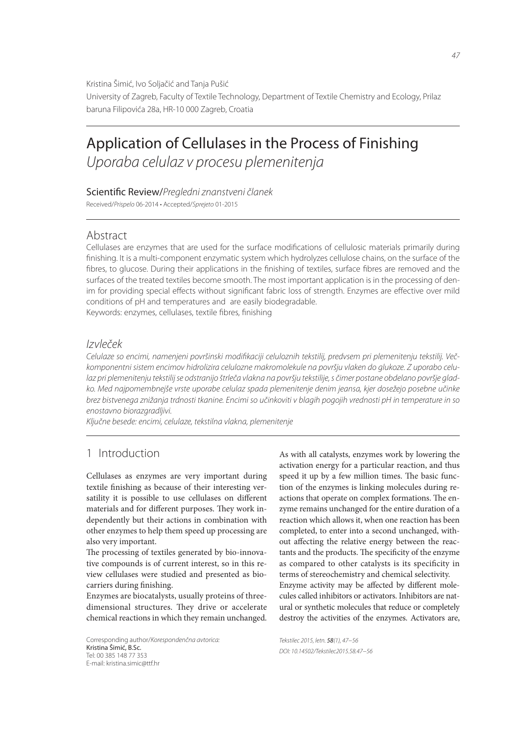Kristina Šimić, Ivo Soljačić and Tanja Pušić

University of Zagreb, Faculty of Textile Technology, Department of Textile Chemistry and Ecology, Prilaz baruna Filipovića 28a, HR-10 000 Zagreb, Croatia

# Application of Cellulases in the Process of Finishing *Uporaba celulaz v procesu plemenitenja*

#### Scientific Review/Pregledni znanstveni članek

Received/*Prispelo* 06-2014 • Accepted/*Sprejeto* 01-2015

### Abstract

Cellulases are enzymes that are used for the surface modifications of cellulosic materials primarily during finishing. It is a multi-component enzymatic system which hydrolyzes cellulose chains, on the surface of the fibres, to glucose. During their applications in the finishing of textiles, surface fibres are removed and the surfaces of the treated textiles become smooth. The most important application is in the processing of denim for providing special effects without significant fabric loss of strength. Enzymes are effective over mild conditions of pH and temperatures and are easily biodegradable.

Keywords: enzymes, cellulases, textile fibres, finishing

## *Izvleček*

Celulaze so encimi, namenjeni površinski modifikaciji celuloznih tekstilij, predvsem pri plemenitenju tekstilij. Več*komponentni sistem encimov hidrolizira celulozne makromolekule na površju vlaken do glukoze. Z uporabo celulaz pri plemenitenju tekstilij se odstranijo štrleča vlakna na površju tekstilije, s čimer postane obdelano površje gladko. Med najpomembnejše vrste uporabe celulaz spada plemenitenje denim jeansa, kjer dosežejo posebne učinke brez bistvenega znižanja trdnosti tkanine. Encimi so učinkoviti v blagih pogojih vrednosti pH in temperature in so enostavno biorazgradljivi.*

*Ključne besede: encimi, celulaze, tekstilna vlakna, plemenitenje*

# 1 Introduction

Cellulases as enzymes are very important during textile finishing as because of their interesting versatility it is possible to use cellulases on different materials and for different purposes. They work independently but their actions in combination with other enzymes to help them speed up processing are also very important.

The processing of textiles generated by bio-innovative compounds is of current interest, so in this review cellulases were studied and presented as biocarriers during finishing.

Enzymes are biocatalysts, usually proteins of threedimensional structures. They drive or accelerate chemical reactions in which they remain unchanged.

Corresponding author/*Korespondenčna avtorica:* Kristina Šimić, B.Sc. Tel: 00 385 148 77 353 E-mail: kristina.simic@ttf.hr

As with all catalysts, enzymes work by lowering the activation energy for a particular reaction, and thus speed it up by a few million times. The basic function of the enzymes is linking molecules during reactions that operate on complex formations. The enzyme remains unchanged for the entire duration of a reaction which allows it, when one reaction has been completed, to enter into a second unchanged, without affecting the relative energy between the reactants and the products. The specificity of the enzyme as compared to other catalysts is its specificity in terms of stereochemistry and chemical selectivity. Enzyme activity may be affected by different molecules called inhibitors or activators. Inhibitors are nat-

ural or synthetic molecules that reduce or completely destroy the activities of the enzymes. Activators are,

*Tekstilec 2015, letn.* 58*(1), 47−56 DOI: 10.14502/Tekstilec2015.58.47−56*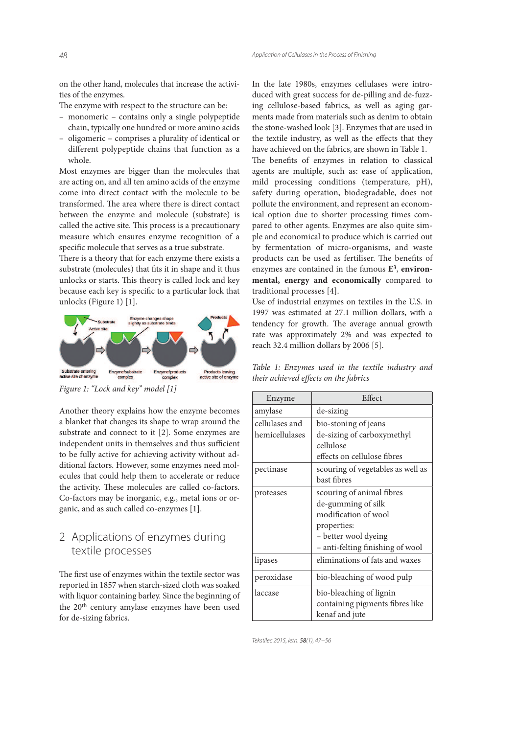on the other hand, molecules that increase the activities of the enzymes.

The enzyme with respect to the structure can be:

- monomeric contains only a single polypeptide chain, typically one hundred or more amino acids
- oligomeric comprises a plurality of identical or different polypeptide chains that function as a whole.

Most enzymes are bigger than the molecules that are acting on, and all ten amino acids of the enzyme come into direct contact with the molecule to be transformed. The area where there is direct contact between the enzyme and molecule (substrate) is called the active site. This process is a precautionary measure which ensures enzyme recognition of a specific molecule that serves as a true substrate.

There is a theory that for each enzyme there exists a substrate (molecules) that fits it in shape and it thus unlocks or starts. This theory is called lock and key because each key is specific to a particular lock that unlocks (Figure 1) [1].



Figure 1: "Lock and key" model [1]

Another theory explains how the enzyme becomes a blanket that changes its shape to wrap around the substrate and connect to it [2]. Some enzymes are independent units in themselves and thus sufficient to be fully active for achieving activity without additional factors. However, some enzymes need molecules that could help them to accelerate or reduce the activity. These molecules are called co-factors. Co-factors may be inorganic, e.g., metal ions or organic, and as such called co-enzymes [1].

# 2 Applications of enzymes during textile processes

The first use of enzymes within the textile sector was reported in 1857 when starch-sized cloth was soaked with liquor containing barley. Since the beginning of the 20th century amylase enzymes have been used for de-sizing fabrics.

In the late 1980s, enzymes cellulases were introduced with great success for de-pilling and de-fuzzing cellulose-based fabrics, as well as aging garments made from materials such as denim to obtain the stone-washed look [3]. Enzymes that are used in the textile industry, as well as the effects that they have achieved on the fabrics, are shown in Table 1.

The benefits of enzymes in relation to classical agents are multiple, such as: ease of application, mild processing conditions (temperature, pH), safety during operation, biodegradable, does not pollute the environment, and represent an economical option due to shorter processing times compared to other agents. Enzymes are also quite simple and economical to produce which is carried out by fermentation of micro-organisms, and waste products can be used as fertiliser. The benefits of enzymes are contained in the famous **E<sup>3</sup>** , **environmental, energy and economically** compared to traditional processes [4].

Use of industrial enzymes on textiles in the U.S. in 1997 was estimated at 27.1 million dollars, with a tendency for growth. The average annual growth rate was approximately 2% and was expected to reach 32.4 million dollars by 2006 [5].

|  | Table 1: Enzymes used in the textile industry and |  |  |  |
|--|---------------------------------------------------|--|--|--|
|  | their achieved effects on the fabrics             |  |  |  |

| Enzyme         | Effect                            |  |  |  |  |
|----------------|-----------------------------------|--|--|--|--|
| amylase        | de-sizing                         |  |  |  |  |
| cellulases and | bio-stoning of jeans              |  |  |  |  |
| hemicellulases | de-sizing of carboxymethyl        |  |  |  |  |
|                | cellulose                         |  |  |  |  |
|                | effects on cellulose fibres       |  |  |  |  |
| pectinase      | scouring of vegetables as well as |  |  |  |  |
|                | bast fibres                       |  |  |  |  |
| proteases      | scouring of animal fibres         |  |  |  |  |
|                | de-gumming of silk                |  |  |  |  |
|                | modification of wool              |  |  |  |  |
|                | properties:                       |  |  |  |  |
|                | - better wool dyeing              |  |  |  |  |
|                | - anti-felting finishing of wool  |  |  |  |  |
| lipases        | eliminations of fats and waxes    |  |  |  |  |
| peroxidase     | bio-bleaching of wood pulp        |  |  |  |  |
| laccase        | bio-bleaching of lignin           |  |  |  |  |
|                | containing pigments fibres like   |  |  |  |  |
|                | kenaf and jute                    |  |  |  |  |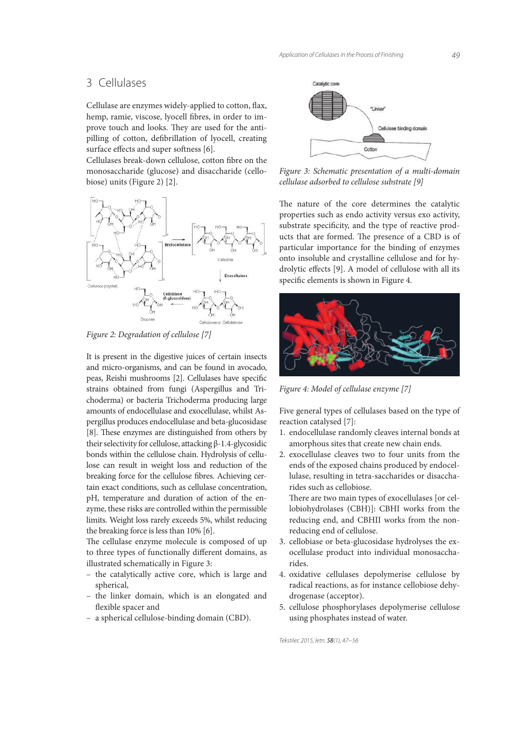# 3 Cellulases

Cellulase are enzymes widely-applied to cotton, flax, hemp, ramie, viscose, lyocell fibres, in order to improve touch and looks. They are used for the antipilling of cotton, defibrillation of lyocell, creating surface effects and super softness [6].

Cellulases break-down cellulose, cotton fibre on the monosaccharide (glucose) and disaccharide (cellobiose) units (Figure 2) [2].



Figure 2: Degradation of cellulose [7]

It is present in the digestive juices of certain insects and micro-organisms, and can be found in avocado, peas, Reishi mushrooms [2]. Cellulases have specific strains obtained from fungi (Aspergillus and Trichoderma) or bacteria Trichoderma producing large amounts of endocellulase and exocellulase, whilst Aspergillus produces endocellulase and beta-glucosidase [8]. These enzymes are distinguished from others by their selectivity for cellulose, attacking β-1.4-glycosidic bonds within the cellulose chain. Hydrolysis of cellulose can result in weight loss and reduction of the breaking force for the cellulose fibres. Achieving certain exact conditions, such as cellulase concentration, pH, temperature and duration of action of the enzyme, these risks are controlled within the permissible limits. Weight loss rarely exceeds 5%, whilst reducing the breaking force is less than 10% [6].

The cellulase enzyme molecule is composed of up to three types of functionally different domains, as illustrated schematically in Figure 3:

- the catalytically active core, which is large and spherical,
- the linker domain, which is an elongated and flexible spacer and
- a spherical cellulose-binding domain (CBD).



Figure 3: Schematic presentation of a multi-domain cellulase adsorbed to cellulose substrate [9]

The nature of the core determines the catalytic properties such as endo activity versus exo activity, substrate specificity, and the type of reactive products that are formed. The presence of a CBD is of particular importance for the binding of enzymes onto insoluble and crystalline cellulose and for hydrolytic effects [9]. A model of cellulose with all its specific elements is shown in Figure 4.



Figure 4: Model of cellulase enzyme [7]

Five general types of cellulases based on the type of reaction catalysed [7]:

- 1. endocellulase randomly cleaves internal bonds at amorphous sites that create new chain ends.
- 2. exocellulase cleaves two to four units from the ends of the exposed chains produced by endocellulase, resulting in tetra-saccharides or disaccharides such as cellobiose.

There are two main types of exocellulases [or cellobiohydrolases (CBH)]: CBHI works from the reducing end, and CBHII works from the nonreducing end of cellulose.

- 3. cellobiase or beta-glucosidase hydrolyses the exocellulase product into individual monosaccharides.
- 4. oxidative cellulases depolymerise cellulose by radical reactions, as for instance cellobiose dehydrogenase (acceptor).
- 5. cellulose phosphorylases depolymerise cellulose using phosphates instead of water.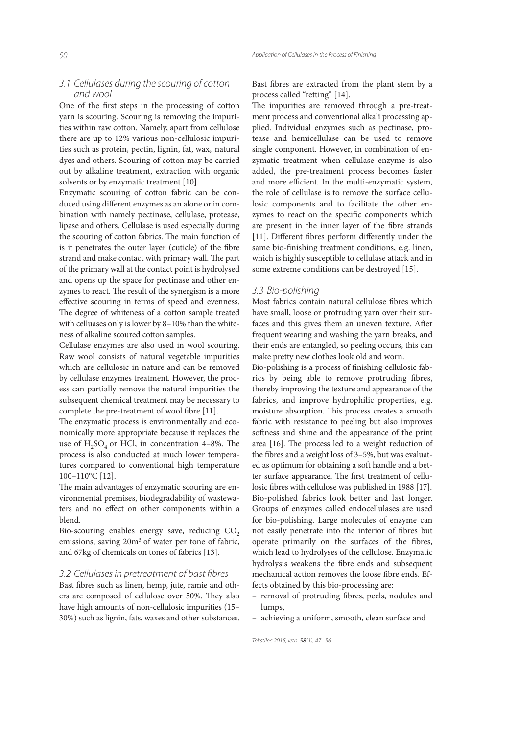#### *3.1 Cellulases during the scouring of cotton and wool*

One of the first steps in the processing of cotton yarn is scouring. Scouring is removing the impurities within raw cotton. Namely, apart from cellulose there are up to 12% various non-cellulosic impurities such as protein, pectin, lignin, fat, wax, natural dyes and others. Scouring of cotton may be carried out by alkaline treatment, extraction with organic solvents or by enzymatic treatment [10].

Enzymatic scouring of cotton fabric can be conduced using different enzymes as an alone or in combination with namely pectinase, cellulase, protease, lipase and others. Cellulase is used especially during the scouring of cotton fabrics. The main function of is it penetrates the outer layer (cuticle) of the fibre strand and make contact with primary wall. The part of the primary wall at the contact point is hydrolysed and opens up the space for pectinase and other enzymes to react. The result of the synergism is a more effective scouring in terms of speed and evenness. The degree of whiteness of a cotton sample treated with celluases only is lower by 8–10% than the whiteness of alkaline scoured cotton samples.

Cellulase enzymes are also used in wool scouring. Raw wool consists of natural vegetable impurities which are cellulosic in nature and can be removed by cellulase enzymes treatment. However, the process can partially remove the natural impurities the subsequent chemical treatment may be necessary to complete the pre-treatment of wool fibre [11].

The enzymatic process is environmentally and economically more appropriate because it replaces the use of  $H_2SO_4$  or HCl, in concentration 4–8%. The process is also conducted at much lower temperatures compared to conventional high temperature 100–110°C [12].

The main advantages of enzymatic scouring are environmental premises, biodegradability of wastewaters and no effect on other components within a blend.

Bio-scouring enables energy save, reducing  $CO<sub>2</sub>$ emissions, saving 20m<sup>3</sup> of water per tone of fabric, and 67kg of chemicals on tones of fabrics [13].

#### *3.2 Cellulases in pretreatment of bast fi bres*

Bast fibres such as linen, hemp, jute, ramie and others are composed of cellulose over 50%. They also have high amounts of non-cellulosic impurities (15– 30%) such as lignin, fats, waxes and other substances. Bast fibres are extracted from the plant stem by a process called "retting" [14].

The impurities are removed through a pre-treatment process and conventional alkali processing applied. Individual enzymes such as pectinase, protease and hemicellulase can be used to remove single component. However, in combination of enzymatic treatment when cellulase enzyme is also added, the pre-treatment process becomes faster and more efficient. In the multi-enzymatic system, the role of cellulase is to remove the surface cellulosic components and to facilitate the other enzymes to react on the specific components which are present in the inner layer of the fibre strands [11]. Different fibres perform differently under the same bio-finishing treatment conditions, e.g. linen, which is highly susceptible to cellulase attack and in some extreme conditions can be destroyed [15].

#### *3.3 Bio-polishing*

Most fabrics contain natural cellulose fibres which have small, loose or protruding yarn over their surfaces and this gives them an uneven texture. After frequent wearing and washing the yarn breaks, and their ends are entangled, so peeling occurs, this can make pretty new clothes look old and worn.

Bio-polishing is a process of finishing cellulosic fabrics by being able to remove protruding fibres, thereby improving the texture and appearance of the fabrics, and improve hydrophilic properties, e.g. moisture absorption. This process creates a smooth fabric with resistance to peeling but also improves softness and shine and the appearance of the print area  $[16]$ . The process led to a weight reduction of the fibres and a weight loss of  $3-5%$ , but was evaluated as optimum for obtaining a soft handle and a better surface appearance. The first treatment of cellulosic fibres with cellulose was published in 1988 [17]. Bio-polished fabrics look better and last longer. Groups of enzymes called endocellulases are used for bio-polishing. Large molecules of enzyme can not easily penetrate into the interior of fibres but operate primarily on the surfaces of the fibres, which lead to hydrolyses of the cellulose. Enzymatic hydrolysis weakens the fibre ends and subsequent mechanical action removes the loose fibre ends. Effects obtained by this bio-processing are:

- removal of protruding fibres, peels, nodules and lumps,
- achieving a uniform, smooth, clean surface and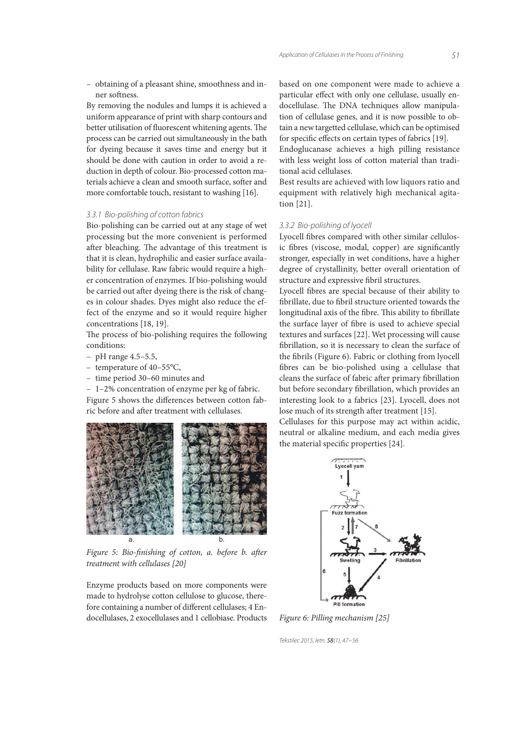*51*

 – obtaining of a pleasant shine, smoothness and inner softness.

By removing the nodules and lumps it is achieved a uniform appearance of print with sharp contours and better utilisation of fluorescent whitening agents. The process can be carried out simultaneously in the bath for dyeing because it saves time and energy but it should be done with caution in order to avoid a reduction in depth of colour. Bio-processed cotton materials achieve a clean and smooth surface, softer and more comfortable touch, resistant to washing [16].

#### *3.3.1 Bio-polishing of cotton fabrics*

Bio-polishing can be carried out at any stage of wet processing but the more convenient is performed after bleaching. The advantage of this treatment is that it is clean, hydrophilic and easier surface availability for cellulase. Raw fabric would require a higher concentration of enzymes. If bio-polishing would be carried out after dyeing there is the risk of changes in colour shades. Dyes might also reduce the effect of the enzyme and so it would require higher concentrations [18, 19].

The process of bio-polishing requires the following conditions:

- pH range 4.5–5.5,
- temperature of 40–55°C,
- time period 30–60 minutes and

 – 1–2% concentration of enzyme per kg of fabric. Figure 5 shows the differences between cotton fabric before and after treatment with cellulases.



Figure 5: Bio-finishing of cotton, a. before b. after treatment with cellulases [20]

Enzyme products based on more components were made to hydrolyse cotton cellulose to glucose, therefore containing a number of different cellulases; 4 Endocellulases, 2 exocellulases and 1 cellobiase. Products

based on one component were made to achieve a particular effect with only one cellulase, usually endocellulase. The DNA techniques allow manipulation of cellulase genes, and it is now possible to obtain a new targetted cellulase, which can be optimised for specific effects on certain types of fabrics [19].

Endoglucanase achieves a high pilling resistance with less weight loss of cotton material than traditional acid cellulases.

Best results are achieved with low liquors ratio and equipment with relatively high mechanical agitation [21].

#### *3.3.2 Bio-polishing of lyocell*

Lyocell fibres compared with other similar cellulosic fibres (viscose, modal, copper) are significantly stronger, especially in wet conditions, have a higher degree of crystallinity, better overall orientation of structure and expressive fibril structures.

Lyocell fibres are special because of their ability to fibrillate, due to fibril structure oriented towards the longitudinal axis of the fibre. This ability to fibrillate the surface layer of fibre is used to achieve special textures and surfaces [22]. Wet processing will cause fibrillation, so it is necessary to clean the surface of the fibrils (Figure 6). Fabric or clothing from lyocell bres can be bio-polished using a cellulase that cleans the surface of fabric after primary fibrillation but before secondary fibrillation, which provides an interesting look to a fabrics [23]. Lyocell, does not lose much of its strength after treatment [15].

Cellulases for this purpose may act within acidic, neutral or alkaline medium, and each media gives the material specific properties [24].



Figure 6: Pilling mechanism [25]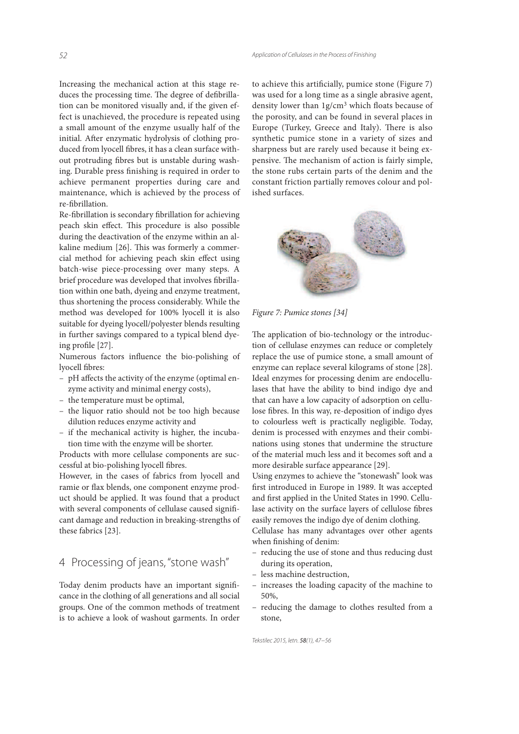Increasing the mechanical action at this stage reduces the processing time. The degree of defibrillation can be monitored visually and, if the given effect is unachieved, the procedure is repeated using a small amount of the enzyme usually half of the initial. After enzymatic hydrolysis of clothing produced from lyocell fibres, it has a clean surface without protruding fibres but is unstable during washing. Durable press finishing is required in order to achieve permanent properties during care and maintenance, which is achieved by the process of re-fibrillation.

Re-fibrillation is secondary fibrillation for achieving peach skin effect. This procedure is also possible during the deactivation of the enzyme within an alkaline medium [26]. This was formerly a commercial method for achieving peach skin effect using batch-wise piece-processing over many steps. A brief procedure was developed that involves fibrillation within one bath, dyeing and enzyme treatment, thus shortening the process considerably. While the method was developed for 100% lyocell it is also suitable for dyeing lyocell/polyester blends resulting in further savings compared to a typical blend dyeing profile [27].

Numerous factors influence the bio-polishing of lyocell fibres:

- pH affects the activity of the enzyme (optimal enzyme activity and minimal energy costs),
- the temperature must be optimal,
- the liquor ratio should not be too high because dilution reduces enzyme activity and
- if the mechanical activity is higher, the incubation time with the enzyme will be shorter.

Products with more cellulase components are successful at bio-polishing lyocell fibres.

However, in the cases of fabrics from lyocell and ramie or flax blends, one component enzyme product should be applied. It was found that a product with several components of cellulase caused significant damage and reduction in breaking-strengths of these fabrics [23].

# 4 Processing of jeans, "stone wash"

Today denim products have an important significance in the clothing of all generations and all social groups. One of the common methods of treatment is to achieve a look of washout garments. In order

to achieve this artificially, pumice stone (Figure 7) was used for a long time as a single abrasive agent, density lower than 1g/cm<sup>3</sup> which floats because of the porosity, and can be found in several places in Europe (Turkey, Greece and Italy). There is also synthetic pumice stone in a variety of sizes and sharpness but are rarely used because it being expensive. The mechanism of action is fairly simple, the stone rubs certain parts of the denim and the constant friction partially removes colour and polished surfaces.



Figure 7: Pumice stones [34]

The application of bio-technology or the introduction of cellulase enzymes can reduce or completely replace the use of pumice stone, a small amount of enzyme can replace several kilograms of stone [28]. Ideal enzymes for processing denim are endocellulases that have the ability to bind indigo dye and that can have a low capacity of adsorption on cellulose fibres. In this way, re-deposition of indigo dyes to colourless weft is practically negligible. Today, denim is processed with enzymes and their combinations using stones that undermine the structure of the material much less and it becomes soft and a more desirable surface appearance [29].

Using enzymes to achieve the "stonewash" look was first introduced in Europe in 1989. It was accepted and first applied in the United States in 1990. Cellulase activity on the surface layers of cellulose fibres easily removes the indigo dye of denim clothing. Cellulase has many advantages over other agents

- reducing the use of stone and thus reducing dust during its operation,
- less machine destruction,

when finishing of denim:

- increases the loading capacity of the machine to 50%,
- reducing the damage to clothes resulted from a stone,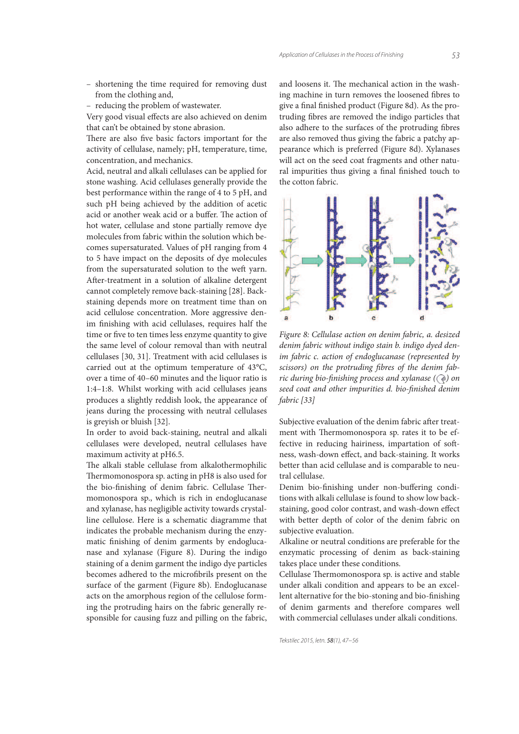*53*

- shortening the time required for removing dust from the clothing and,
- reducing the problem of wastewater.

Very good visual effects are also achieved on denim that can't be obtained by stone abrasion.

There are also five basic factors important for the activity of cellulase, namely; pH, temperature, time, concentration, and mechanics.

Acid, neutral and alkali cellulases can be applied for stone washing. Acid cellulases generally provide the best performance within the range of 4 to 5 pH, and such pH being achieved by the addition of acetic acid or another weak acid or a buffer. The action of hot water, cellulase and stone partially remove dye molecules from fabric within the solution which becomes supersaturated. Values of pH ranging from 4 to 5 have impact on the deposits of dye molecules from the supersaturated solution to the weft yarn. After-treatment in a solution of alkaline detergent cannot completely remove back-staining [28]. Backstaining depends more on treatment time than on acid cellulose concentration. More aggressive denim finishing with acid cellulases, requires half the time or five to ten times less enzyme quantity to give the same level of colour removal than with neutral cellulases [30, 31]. Treatment with acid cellulases is carried out at the optimum temperature of 43°C, over a time of 40–60 minutes and the liquor ratio is 1:4–1:8. Whilst working with acid cellulases jeans produces a slightly reddish look, the appearance of jeans during the processing with neutral cellulases is greyish or bluish [32].

In order to avoid back-staining, neutral and alkali cellulases were developed, neutral cellulases have maximum activity at pH6.5.

The alkali stable cellulase from alkalothermophilic Thermomonospora sp. acting in pH8 is also used for the bio-finishing of denim fabric. Cellulase Thermomonospora sp., which is rich in endoglucanase and xylanase, has negligible activity towards crystalline cellulose. Here is a schematic diagramme that indicates the probable mechanism during the enzymatic finishing of denim garments by endoglucanase and xylanase (Figure 8). During the indigo staining of a denim garment the indigo dye particles becomes adhered to the microfibrils present on the surface of the garment (Figure 8b). Endoglucanase acts on the amorphous region of the cellulose forming the protruding hairs on the fabric generally responsible for causing fuzz and pilling on the fabric,

and loosens it. The mechanical action in the washing machine in turn removes the loosened fibres to give a final finished product (Figure 8d). As the protruding fibres are removed the indigo particles that also adhere to the surfaces of the protruding fibres are also removed thus giving the fabric a patchy appearance which is preferred (Figure 8d). Xylanases will act on the seed coat fragments and other natural impurities thus giving a final finished touch to the cotton fabric.



Figure 8: Cellulase action on denim fabric, a. desized denim fabric without indigo stain b. indigo dyed denim fabric c. action of endoglucanase (represented by scissors) on the protruding fibres of the denim fabric during bio-finishing process and xylanase  $(Q)$  on seed coat and other impurities d. bio-finished denim fabric [33]

Subjective evaluation of the denim fabric after treatment with Thermomonospora sp. rates it to be effective in reducing hairiness, impartation of softness, wash-down effect, and back-staining. It works better than acid cellulase and is comparable to neutral cellulase.

Denim bio-finishing under non-buffering conditions with alkali cellulase is found to show low backstaining, good color contrast, and wash-down effect with better depth of color of the denim fabric on subjective evaluation.

Alkaline or neutral conditions are preferable for the enzymatic processing of denim as back-staining takes place under these conditions.

Cellulase Thermomonospora sp. is active and stable under alkali condition and appears to be an excellent alternative for the bio-stoning and bio-finishing of denim garments and therefore compares well with commercial cellulases under alkali conditions.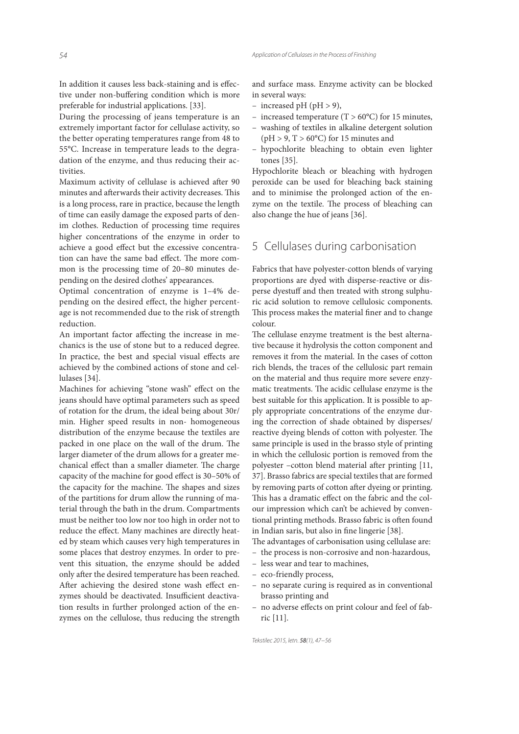In addition it causes less back-staining and is effective under non-buffering condition which is more preferable for industrial applications. [33].

During the processing of jeans temperature is an extremely important factor for cellulase activity, so the better operating temperatures range from 48 to 55°C. Increase in temperature leads to the degradation of the enzyme, and thus reducing their activities.

Maximum activity of cellulase is achieved after 90 minutes and afterwards their activity decreases. This is a long process, rare in practice, because the length of time can easily damage the exposed parts of denim clothes. Reduction of processing time requires higher concentrations of the enzyme in order to achieve a good effect but the excessive concentration can have the same bad effect. The more common is the processing time of 20–80 minutes depending on the desired clothes' appearances.

Optimal concentration of enzyme is 1–4% depending on the desired effect, the higher percentage is not recommended due to the risk of strength reduction.

An important factor affecting the increase in mechanics is the use of stone but to a reduced degree. In practice, the best and special visual effects are achieved by the combined actions of stone and cellulases [34].

Machines for achieving "stone wash" effect on the jeans should have optimal parameters such as speed of rotation for the drum, the ideal being about 30r/ min. Higher speed results in non- homogeneous distribution of the enzyme because the textiles are packed in one place on the wall of the drum. The larger diameter of the drum allows for a greater mechanical effect than a smaller diameter. The charge capacity of the machine for good effect is 30–50% of the capacity for the machine. The shapes and sizes of the partitions for drum allow the running of material through the bath in the drum. Compartments must be neither too low nor too high in order not to reduce the effect. Many machines are directly heated by steam which causes very high temperatures in some places that destroy enzymes. In order to prevent this situation, the enzyme should be added only after the desired temperature has been reached. After achieving the desired stone wash effect enzymes should be deactivated. Insufficient deactivation results in further prolonged action of the enzymes on the cellulose, thus reducing the strength

and surface mass. Enzyme activity can be blocked in several ways:

- increased pH (pH  $>$  9),
- increased temperature (T >  $60^{\circ}$ C) for 15 minutes,
- washing of textiles in alkaline detergent solution  $(pH > 9, T > 60^{\circ}C)$  for 15 minutes and
- hypochlorite bleaching to obtain even lighter tones [35].

Hypochlorite bleach or bleaching with hydrogen peroxide can be used for bleaching back staining and to minimise the prolonged action of the enzyme on the textile. The process of bleaching can also change the hue of jeans [36].

# 5 Cellulases during carbonisation

Fabrics that have polyester-cotton blends of varying proportions are dyed with disperse-reactive or disperse dyestuff and then treated with strong sulphuric acid solution to remove cellulosic components. This process makes the material finer and to change colour.

The cellulase enzyme treatment is the best alternative because it hydrolysis the cotton component and removes it from the material. In the cases of cotton rich blends, the traces of the cellulosic part remain on the material and thus require more severe enzymatic treatments. The acidic cellulase enzyme is the best suitable for this application. It is possible to apply appropriate concentrations of the enzyme during the correction of shade obtained by disperses/ reactive dyeing blends of cotton with polyester. The same principle is used in the brasso style of printing in which the cellulosic portion is removed from the polyester –cotton blend material after printing [11, 37]. Brasso fabrics are special textiles that are formed by removing parts of cotton after dyeing or printing. This has a dramatic effect on the fabric and the colour impression which can't be achieved by conventional printing methods. Brasso fabric is often found in Indian saris, but also in fine lingerie [38].

The advantages of carbonisation using cellulase are:

- the process is non-corrosive and non-hazardous,
- less wear and tear to machines,
- eco-friendly process,
- no separate curing is required as in conventional brasso printing and
- no adverse effects on print colour and feel of fabric [11].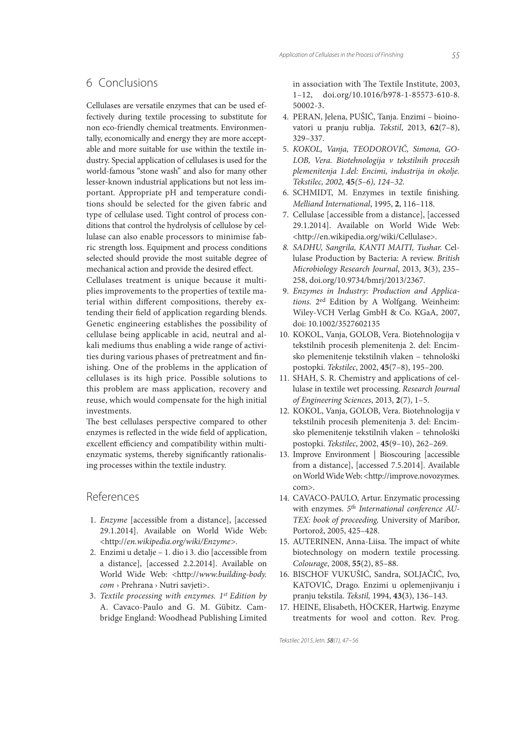# 6 Conclusions

Cellulases are versatile enzymes that can be used effectively during textile processing to substitute for non eco-friendly chemical treatments. Environmentally, economically and energy they are more acceptable and more suitable for use within the textile industry. Special application of cellulases is used for the world-famous "stone wash" and also for many other lesser-known industrial applications but not less important. Appropriate pH and temperature conditions should be selected for the given fabric and type of cellulase used. Tight control of process conditions that control the hydrolysis of cellulose by cellulase can also enable processors to minimise fabric strength loss. Equipment and process conditions selected should provide the most suitable degree of mechanical action and provide the desired effect. Cellulases treatment is unique because it multiplies improvements to the properties of textile ma-

terial within different compositions, thereby extending their field of application regarding blends. Genetic engineering establishes the possibility of cellulase being applicable in acid, neutral and alkali mediums thus enabling a wide range of activities during various phases of pretreatment and finishing. One of the problems in the application of cellulases is its high price. Possible solutions to this problem are mass application, recovery and reuse, which would compensate for the high initial investments.

The best cellulases perspective compared to other enzymes is reflected in the wide field of application, excellent efficiency and compatibility within multienzymatic systems, thereby significantly rationalising processes within the textile industry.

## References

- 1. Enzyme [accessible from a distance], [accessed 29.1.2014]. Available on World Wide Web: <http://en.wikipedia.org/wiki/Enzyme>.
- 2. Enzimi u detalje 1. dio i 3. dio [accessible from a distance], [accessed 2.2.2014]. Available on World Wide Web: <http://www.building-body. com › Prehrana › Nutri savjeti>.
- 3. Textile processing with enzymes.  $1^{st}$  Edition by A. Cavaco-Paulo and G. M. Gübitz. Cambridge England: Woodhead Publishing Limited

in association with The Textile Institute, 2003, 1–12, doi.org/10.1016/b978-1-85573-610-8. 50002-3.

- 4. PERAN, Jelena, PUŠIĆ, Tanja. Enzimi bioinovatori u pranju rublja. Tekstil, 2013, **62**(7–8), 329–337.
- 5. KOKOL, Vanja, TEODOROVIČ, Simona, GO-LOB, Vera. Biotehnologija v tekstilnih procesih plemenitenja 1.del: Encimi, industrija in okolje. Tekstilec, 2002, **45**(5–6), 124–32.
- 6. SCHMIDT, M. Enzymes in textile finishing. Melliand International, 1995, **2**, 116–118.
- 7. Cellulase [accessible from a distance], [accessed 29.1.2014]. Available on World Wide Web: <http://en.wikipedia.org/wiki/Cellulase>.
- 8. SADHU, Sangrila, KANTI MAITI, Tushar. Cellulase Production by Bacteria: A review. British Microbiology Research Journal, 2013, **3**(3), 235– 258, doi.org/10.9734/bmrj/2013/2367.
- 9. Enzymes in Industry: Production and Applications. 2ed Edition by A Wolfgang. Weinheim: Wiley-VCH Verlag GmbH & Co. KGaA, 2007, doi: 10.1002/3527602135
- 10. KOKOL, Vanja, GOLOB, Vera. Biotehnologija v tekstilnih procesih plemenitenja 2. del: Encimsko plemenitenje tekstilnih vlaken – tehnološki postopki. Tekstilec, 2002, **45**(7–8), 195–200.
- 11. SHAH, S. R. Chemistry and applications of cellulase in textile wet processing. Research Journal of Engineering Sciences, 2013, **2**(7), 1–5.
- 12. KOKOL, Vanja, GOLOB, Vera. Biotehnologija v tekstilnih procesih plemenitenja 3. del: Encimsko plemenitenje tekstilnih vlaken – tehnološki postopki. Tekstilec, 2002, **45**(9–10), 262–269.
- 13. Improve Environment | Bioscouring [accessible from a distance], [accessed 7.5.2014]. Available on World Wide Web: <http://improve.novozymes. com>.
- 14. CAVACO-PAULO, Artur. Enzymatic processing with enzymes. 5<sup>th</sup> International conference AU-TEX: book of proceeding, University of Maribor, Portorož, 2005, 425–428.
- 15. AUTERINEN, Anna-Liisa. The impact of white biotechnology on modern textile processing. Colourage, 2008, **55**(2), 85–88.
- 16. BISCHOF VUKUŠIĆ, Sandra, SOLJAČIĆ, Ivo, KATOVIĆ, Drago. Enzimi u oplemenjivanju i pranju tekstila. Tekstil, 1994, **43(**3), 136–143.
- 17. HEINE, Elisabeth, HÖCKER, Hartwig. Enzyme treatments for wool and cotton. Rev. Prog.